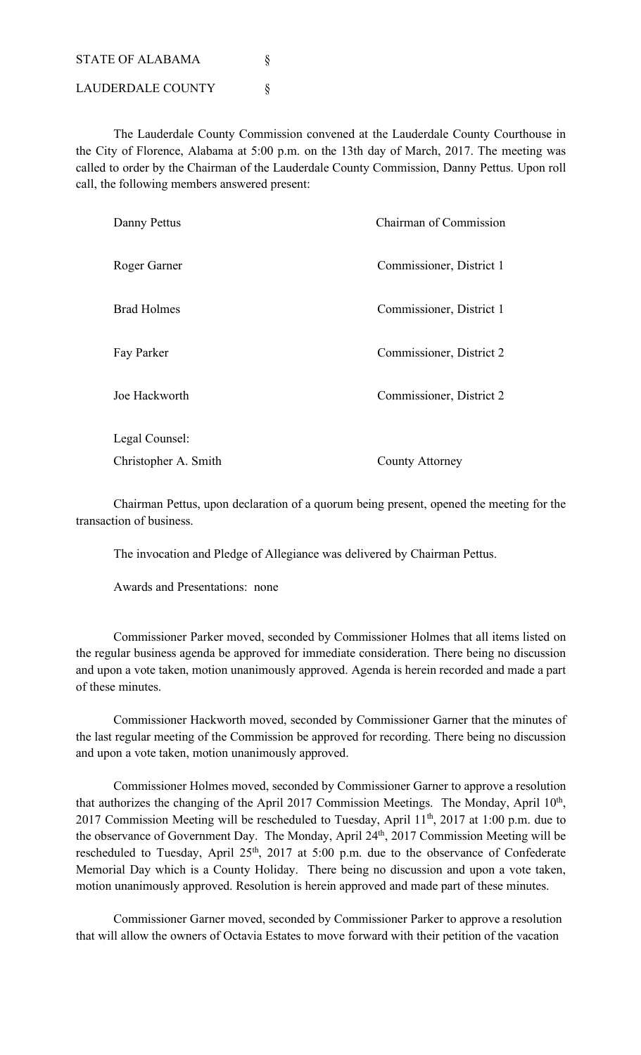STATE OF ALABAMA § LAUDERDALE COUNTY  $\S$ 

The Lauderdale County Commission convened at the Lauderdale County Courthouse in the City of Florence, Alabama at 5:00 p.m. on the 13th day of March, 2017. The meeting was called to order by the Chairman of the Lauderdale County Commission, Danny Pettus. Upon roll call, the following members answered present:

| Danny Pettus         | Chairman of Commission   |  |
|----------------------|--------------------------|--|
| Roger Garner         | Commissioner, District 1 |  |
| <b>Brad Holmes</b>   | Commissioner, District 1 |  |
| Fay Parker           | Commissioner, District 2 |  |
| Joe Hackworth        | Commissioner, District 2 |  |
| Legal Counsel:       |                          |  |
| Christopher A. Smith | County Attorney          |  |

Chairman Pettus, upon declaration of a quorum being present, opened the meeting for the transaction of business.

The invocation and Pledge of Allegiance was delivered by Chairman Pettus.

Awards and Presentations: none

Commissioner Parker moved, seconded by Commissioner Holmes that all items listed on the regular business agenda be approved for immediate consideration. There being no discussion and upon a vote taken, motion unanimously approved. Agenda is herein recorded and made a part of these minutes.

Commissioner Hackworth moved, seconded by Commissioner Garner that the minutes of the last regular meeting of the Commission be approved for recording. There being no discussion and upon a vote taken, motion unanimously approved.

Commissioner Holmes moved, seconded by Commissioner Garner to approve a resolution that authorizes the changing of the April 2017 Commission Meetings. The Monday, April 10<sup>th</sup>, 2017 Commission Meeting will be rescheduled to Tuesday, April 11<sup>th</sup>, 2017 at 1:00 p.m. due to the observance of Government Day. The Monday, April 24<sup>th</sup>, 2017 Commission Meeting will be rescheduled to Tuesday, April 25<sup>th</sup>, 2017 at 5:00 p.m. due to the observance of Confederate Memorial Day which is a County Holiday. There being no discussion and upon a vote taken, motion unanimously approved. Resolution is herein approved and made part of these minutes.

Commissioner Garner moved, seconded by Commissioner Parker to approve a resolution that will allow the owners of Octavia Estates to move forward with their petition of the vacation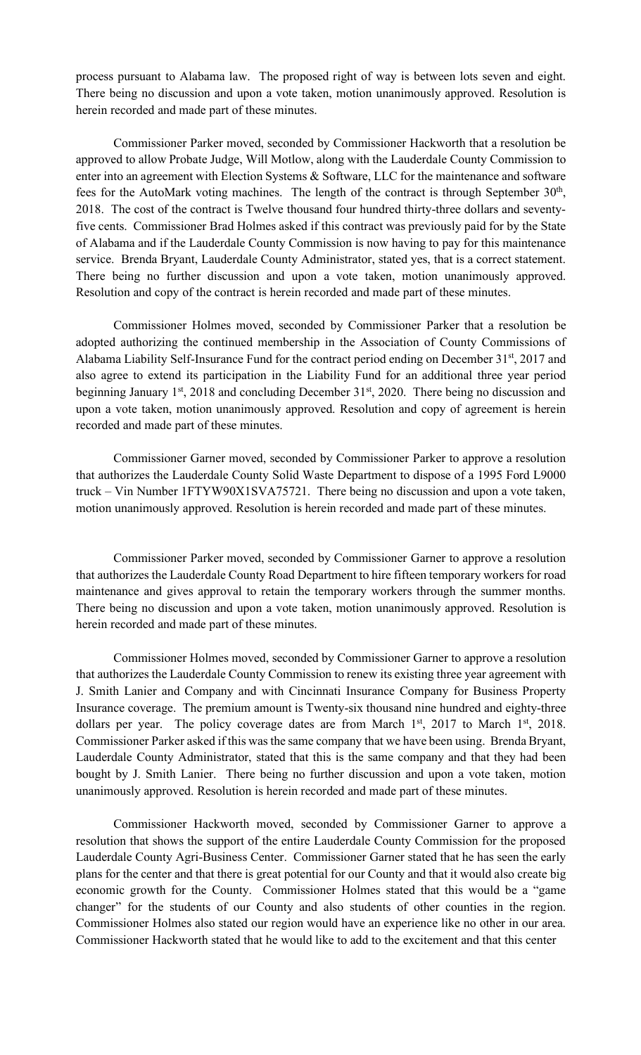process pursuant to Alabama law. The proposed right of way is between lots seven and eight. There being no discussion and upon a vote taken, motion unanimously approved. Resolution is herein recorded and made part of these minutes.

Commissioner Parker moved, seconded by Commissioner Hackworth that a resolution be approved to allow Probate Judge, Will Motlow, along with the Lauderdale County Commission to enter into an agreement with Election Systems & Software, LLC for the maintenance and software fees for the AutoMark voting machines. The length of the contract is through September  $30<sup>th</sup>$ , 2018. The cost of the contract is Twelve thousand four hundred thirty-three dollars and seventyfive cents. Commissioner Brad Holmes asked if this contract was previously paid for by the State of Alabama and if the Lauderdale County Commission is now having to pay for this maintenance service. Brenda Bryant, Lauderdale County Administrator, stated yes, that is a correct statement. There being no further discussion and upon a vote taken, motion unanimously approved. Resolution and copy of the contract is herein recorded and made part of these minutes.

Commissioner Holmes moved, seconded by Commissioner Parker that a resolution be adopted authorizing the continued membership in the Association of County Commissions of Alabama Liability Self-Insurance Fund for the contract period ending on December 31<sup>st</sup>, 2017 and also agree to extend its participation in the Liability Fund for an additional three year period beginning January 1<sup>st</sup>, 2018 and concluding December 31<sup>st</sup>, 2020. There being no discussion and upon a vote taken, motion unanimously approved. Resolution and copy of agreement is herein recorded and made part of these minutes.

Commissioner Garner moved, seconded by Commissioner Parker to approve a resolution that authorizes the Lauderdale County Solid Waste Department to dispose of a 1995 Ford L9000 truck – Vin Number 1FTYW90X1SVA75721. There being no discussion and upon a vote taken, motion unanimously approved. Resolution is herein recorded and made part of these minutes.

Commissioner Parker moved, seconded by Commissioner Garner to approve a resolution that authorizes the Lauderdale County Road Department to hire fifteen temporary workers for road maintenance and gives approval to retain the temporary workers through the summer months. There being no discussion and upon a vote taken, motion unanimously approved. Resolution is herein recorded and made part of these minutes.

Commissioner Holmes moved, seconded by Commissioner Garner to approve a resolution that authorizes the Lauderdale County Commission to renew its existing three year agreement with J. Smith Lanier and Company and with Cincinnati Insurance Company for Business Property Insurance coverage. The premium amount is Twenty-six thousand nine hundred and eighty-three dollars per year. The policy coverage dates are from March  $1<sup>st</sup>$ , 2017 to March  $1<sup>st</sup>$ , 2018. Commissioner Parker asked if this was the same company that we have been using. Brenda Bryant, Lauderdale County Administrator, stated that this is the same company and that they had been bought by J. Smith Lanier. There being no further discussion and upon a vote taken, motion unanimously approved. Resolution is herein recorded and made part of these minutes.

Commissioner Hackworth moved, seconded by Commissioner Garner to approve a resolution that shows the support of the entire Lauderdale County Commission for the proposed Lauderdale County Agri-Business Center. Commissioner Garner stated that he has seen the early plans for the center and that there is great potential for our County and that it would also create big economic growth for the County. Commissioner Holmes stated that this would be a "game changer" for the students of our County and also students of other counties in the region. Commissioner Holmes also stated our region would have an experience like no other in our area. Commissioner Hackworth stated that he would like to add to the excitement and that this center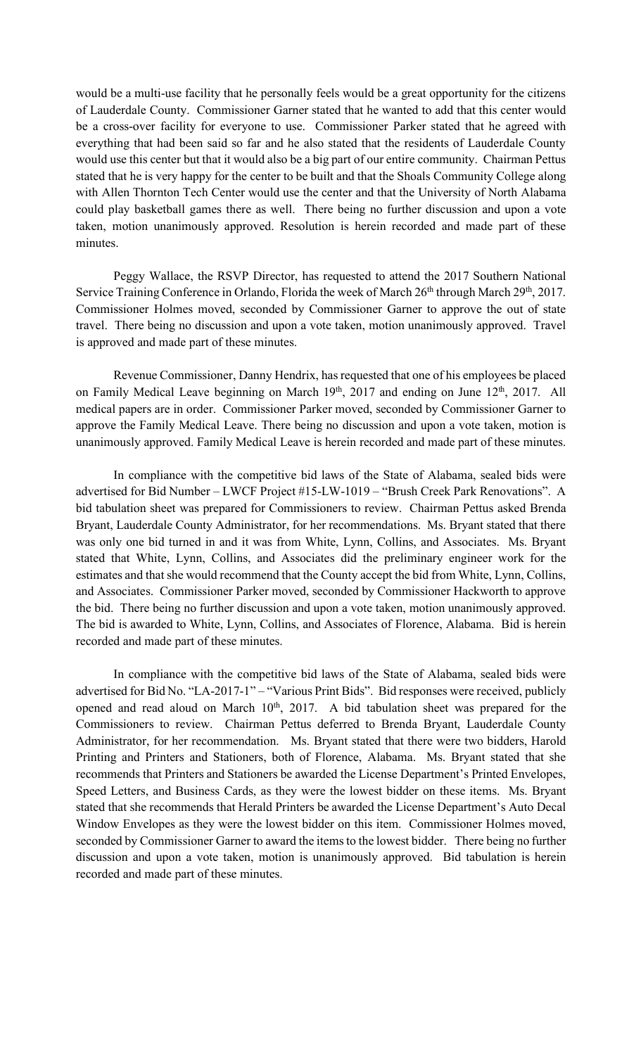would be a multi-use facility that he personally feels would be a great opportunity for the citizens of Lauderdale County. Commissioner Garner stated that he wanted to add that this center would be a cross-over facility for everyone to use. Commissioner Parker stated that he agreed with everything that had been said so far and he also stated that the residents of Lauderdale County would use this center but that it would also be a big part of our entire community. Chairman Pettus stated that he is very happy for the center to be built and that the Shoals Community College along with Allen Thornton Tech Center would use the center and that the University of North Alabama could play basketball games there as well. There being no further discussion and upon a vote taken, motion unanimously approved. Resolution is herein recorded and made part of these minutes.

Peggy Wallace, the RSVP Director, has requested to attend the 2017 Southern National Service Training Conference in Orlando, Florida the week of March 26<sup>th</sup> through March 29<sup>th</sup>, 2017. Commissioner Holmes moved, seconded by Commissioner Garner to approve the out of state travel. There being no discussion and upon a vote taken, motion unanimously approved. Travel is approved and made part of these minutes.

Revenue Commissioner, Danny Hendrix, has requested that one of his employees be placed on Family Medical Leave beginning on March 19<sup>th</sup>, 2017 and ending on June 12<sup>th</sup>, 2017. All medical papers are in order. Commissioner Parker moved, seconded by Commissioner Garner to approve the Family Medical Leave. There being no discussion and upon a vote taken, motion is unanimously approved. Family Medical Leave is herein recorded and made part of these minutes.

In compliance with the competitive bid laws of the State of Alabama, sealed bids were advertised for Bid Number – LWCF Project #15-LW-1019 – "Brush Creek Park Renovations". A bid tabulation sheet was prepared for Commissioners to review. Chairman Pettus asked Brenda Bryant, Lauderdale County Administrator, for her recommendations. Ms. Bryant stated that there was only one bid turned in and it was from White, Lynn, Collins, and Associates. Ms. Bryant stated that White, Lynn, Collins, and Associates did the preliminary engineer work for the estimates and that she would recommend that the County accept the bid from White, Lynn, Collins, and Associates. Commissioner Parker moved, seconded by Commissioner Hackworth to approve the bid. There being no further discussion and upon a vote taken, motion unanimously approved. The bid is awarded to White, Lynn, Collins, and Associates of Florence, Alabama. Bid is herein recorded and made part of these minutes.

In compliance with the competitive bid laws of the State of Alabama, sealed bids were advertised for Bid No. "LA-2017-1" – "Various Print Bids". Bid responses were received, publicly opened and read aloud on March 10<sup>th</sup>, 2017. A bid tabulation sheet was prepared for the Commissioners to review. Chairman Pettus deferred to Brenda Bryant, Lauderdale County Administrator, for her recommendation. Ms. Bryant stated that there were two bidders, Harold Printing and Printers and Stationers, both of Florence, Alabama. Ms. Bryant stated that she recommends that Printers and Stationers be awarded the License Department's Printed Envelopes, Speed Letters, and Business Cards, as they were the lowest bidder on these items. Ms. Bryant stated that she recommends that Herald Printers be awarded the License Department's Auto Decal Window Envelopes as they were the lowest bidder on this item. Commissioner Holmes moved, seconded by Commissioner Garner to award the items to the lowest bidder. There being no further discussion and upon a vote taken, motion is unanimously approved. Bid tabulation is herein recorded and made part of these minutes.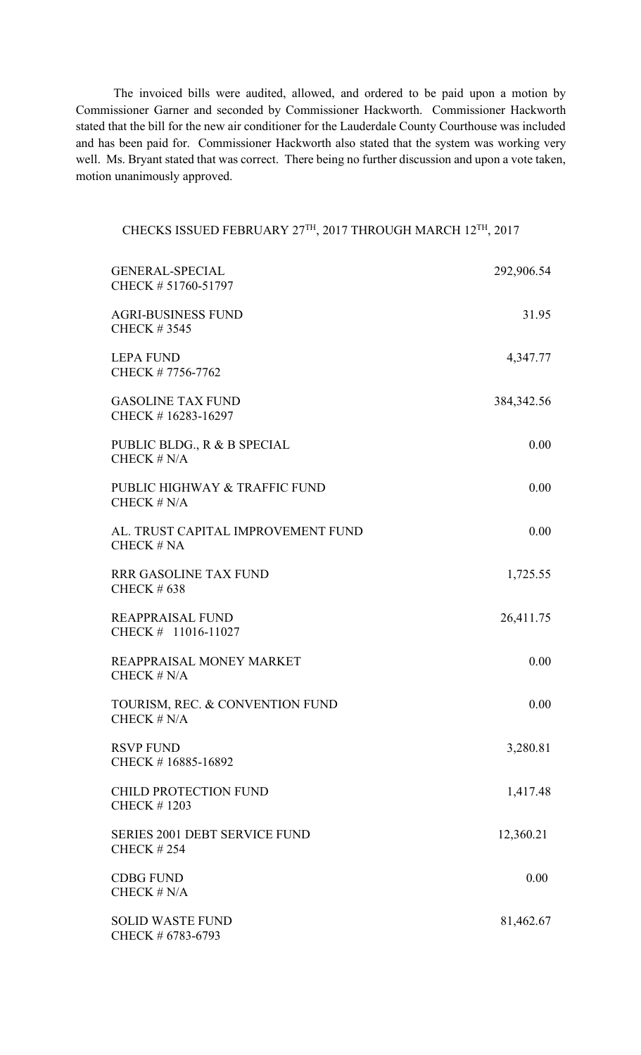The invoiced bills were audited, allowed, and ordered to be paid upon a motion by Commissioner Garner and seconded by Commissioner Hackworth. Commissioner Hackworth stated that the bill for the new air conditioner for the Lauderdale County Courthouse was included and has been paid for. Commissioner Hackworth also stated that the system was working very well. Ms. Bryant stated that was correct. There being no further discussion and upon a vote taken, motion unanimously approved.

## CHECKS ISSUED FEBRUARY 27TH, 2017 THROUGH MARCH 12TH, 2017

| <b>GENERAL-SPECIAL</b><br>CHECK #51760-51797              | 292,906.54   |
|-----------------------------------------------------------|--------------|
| <b>AGRI-BUSINESS FUND</b><br><b>CHECK #3545</b>           | 31.95        |
| <b>LEPA FUND</b><br>CHECK #7756-7762                      | 4,347.77     |
| <b>GASOLINE TAX FUND</b><br>CHECK #16283-16297            | 384, 342. 56 |
| PUBLIC BLDG., R & B SPECIAL<br>CHECK $# N/A$              | 0.00         |
| PUBLIC HIGHWAY & TRAFFIC FUND<br>CHECK $# N/A$            | 0.00         |
| AL. TRUST CAPITAL IMPROVEMENT FUND<br>CHECK # NA          | 0.00         |
| <b>RRR GASOLINE TAX FUND</b><br><b>CHECK #638</b>         | 1,725.55     |
| <b>REAPPRAISAL FUND</b><br>CHECK # 11016-11027            | 26,411.75    |
| REAPPRAISAL MONEY MARKET<br>CHECK $# N/A$                 | 0.00         |
| TOURISM, REC. & CONVENTION FUND<br>CHECK $# N/A$          | 0.00         |
| <b>RSVP FUND</b><br>CHECK #16885-16892                    | 3,280.81     |
| <b>CHILD PROTECTION FUND</b><br><b>CHECK #1203</b>        | 1,417.48     |
| <b>SERIES 2001 DEBT SERVICE FUND</b><br><b>CHECK #254</b> | 12,360.21    |
| <b>CDBG FUND</b><br>CHECK $# N/A$                         | 0.00         |
| <b>SOLID WASTE FUND</b><br>CHECK # 6783-6793              | 81,462.67    |